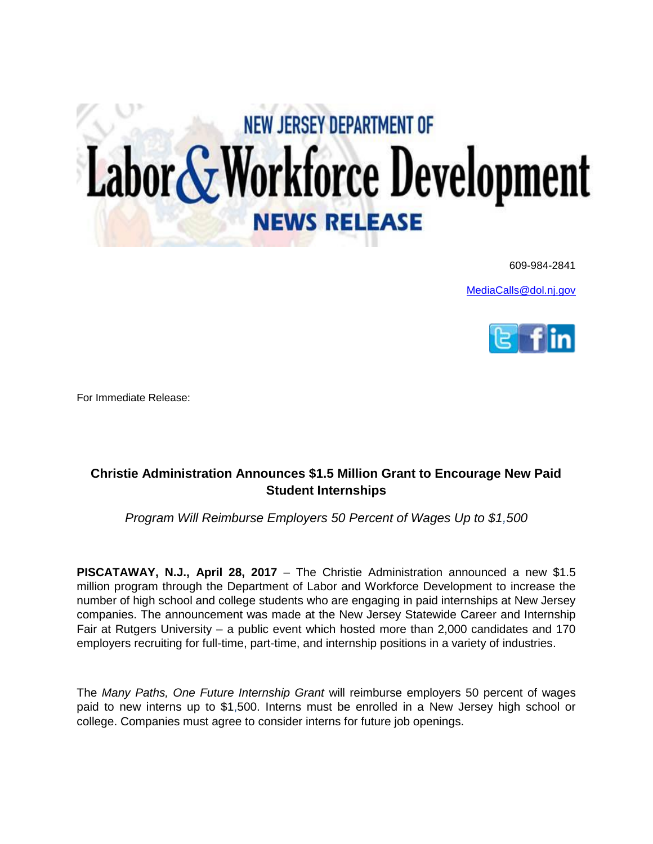## Labor & Workforce Development **NEW JERSEY DEPARTMENT OF**

609-984-2841

[MediaCalls@dol.nj.gov](mailto:MediaCalls@dol.nj.gov)



For Immediate Release:

## **Christie Administration Announces \$1.5 Million Grant to Encourage New Paid Student Internships**

*Program Will Reimburse Employers 50 Percent of Wages Up to \$1,500*

**PISCATAWAY, N.J., April 28, 2017** – The Christie Administration announced a new \$1.5 million program through the Department of Labor and Workforce Development to increase the number of high school and college students who are engaging in paid internships at New Jersey companies. The announcement was made at the New Jersey Statewide Career and Internship Fair at Rutgers University – a public event which hosted more than 2,000 candidates and 170 employers recruiting for full-time, part-time, and internship positions in a variety of industries.

The *Many Paths, One Future Internship Grant* will reimburse employers 50 percent of wages paid to new interns up to \$1,500. Interns must be enrolled in a New Jersey high school or college. Companies must agree to consider interns for future job openings.